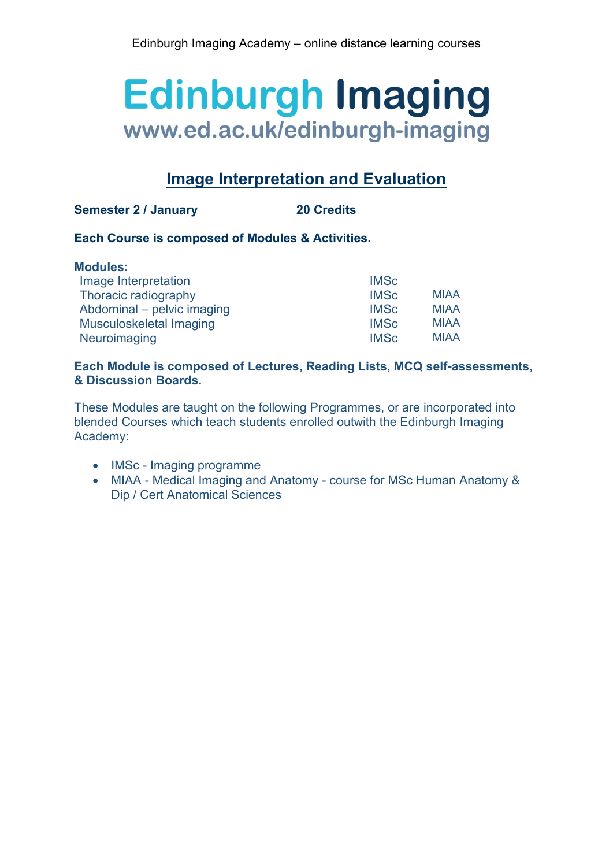### **Image Interpretation and Evaluation**

### **Semester 2 / January 20 Credits**

### **Each Course is composed of Modules & Activities.**

| <b>Modules:</b>            |             |             |
|----------------------------|-------------|-------------|
| Image Interpretation       | <b>IMSc</b> |             |
| Thoracic radiography       | <b>IMSc</b> | <b>MIAA</b> |
| Abdominal – pelvic imaging | <b>IMSc</b> | <b>MIAA</b> |
| Musculoskeletal Imaging    | <b>IMSc</b> | <b>MIAA</b> |
| Neuroimaging               | <b>IMSc</b> | <b>MIAA</b> |

### **Each Module is composed of Lectures, Reading Lists, MCQ self-assessments, & Discussion Boards.**

These Modules are taught on the following Programmes, or are incorporated into blended Courses which teach students enrolled outwith the Edinburgh Imaging Academy:

- IMSc Imaging programme
- MIAA Medical Imaging and Anatomy course for MSc Human Anatomy & Dip / Cert Anatomical Sciences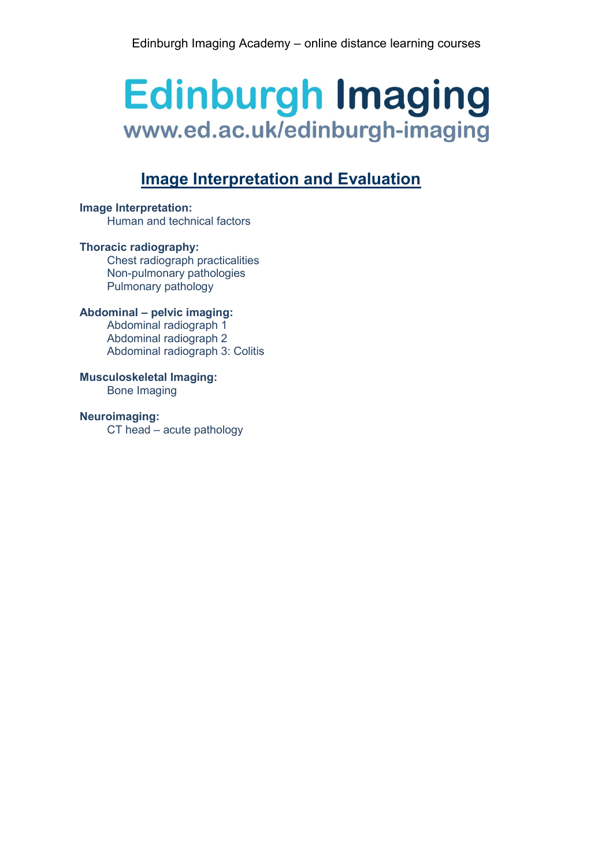## **Image Interpretation and Evaluation**

### **Image Interpretation:**

Human and technical factors

### **Thoracic radiography:**

Chest radiograph practicalities Non-pulmonary pathologies Pulmonary pathology

### **Abdominal – pelvic imaging:**

Abdominal radiograph 1 Abdominal radiograph 2 Abdominal radiograph 3: Colitis

#### **Musculoskeletal Imaging:** Bone Imaging

### **Neuroimaging:**

CT head – acute pathology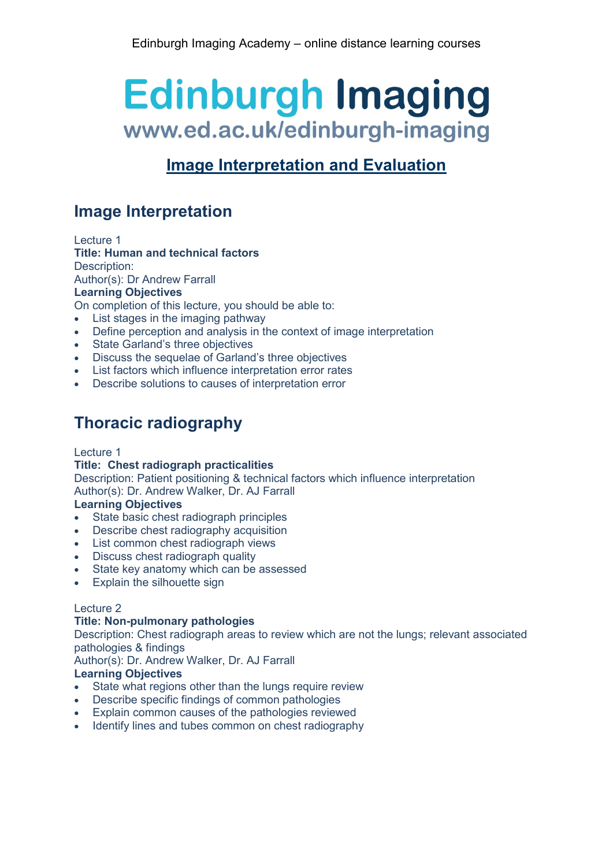## **Image Interpretation and Evaluation**

## **Image Interpretation**

Lecture 1

### **Title: Human and technical factors**

Description:

Author(s): Dr Andrew Farrall

### **Learning Objectives**

On completion of this lecture, you should be able to:

- List stages in the imaging pathway
- Define perception and analysis in the context of image interpretation
- State Garland's three objectives
- Discuss the sequelae of Garland's three objectives
- List factors which influence interpretation error rates
- Describe solutions to causes of interpretation error

## **Thoracic radiography**

### Lecture 1

### **Title: Chest radiograph practicalities**

Description: Patient positioning & technical factors which influence interpretation Author(s): Dr. Andrew Walker, Dr. AJ Farrall

### **Learning Objectives**

- State basic chest radiograph principles
- Describe chest radiography acquisition
- List common chest radiograph views
- Discuss chest radiograph quality
- State key anatomy which can be assessed
- Explain the silhouette sign

### Lecture 2

### **Title: Non-pulmonary pathologies**

Description: Chest radiograph areas to review which are not the lungs; relevant associated pathologies & findings

Author(s): Dr. Andrew Walker, Dr. AJ Farrall

### **Learning Objectives**

- State what regions other than the lungs require review
- Describe specific findings of common pathologies
- Explain common causes of the pathologies reviewed
- Identify lines and tubes common on chest radiography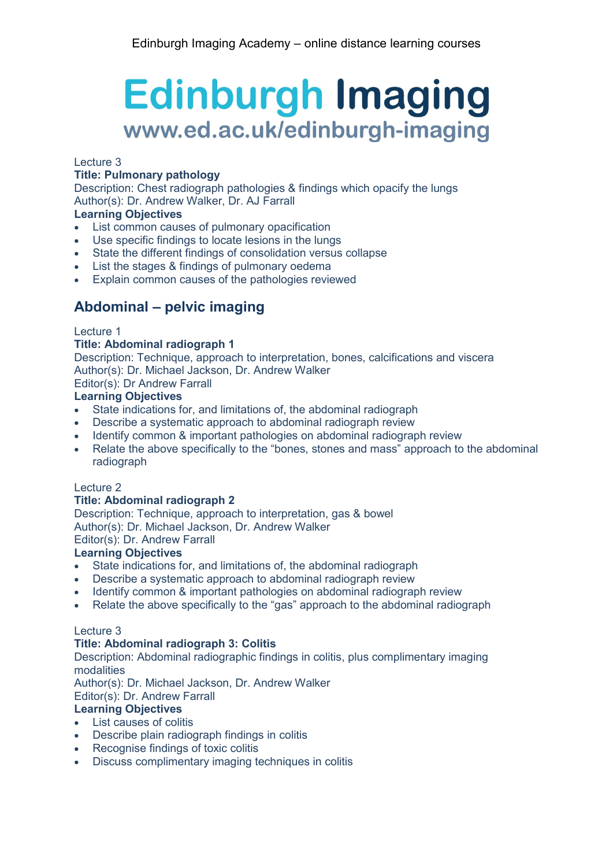### Lecture 3

### **Title: Pulmonary pathology**

Description: Chest radiograph pathologies & findings which opacify the lungs Author(s): Dr. Andrew Walker, Dr. AJ Farrall

### **Learning Objectives**

- List common causes of pulmonary opacification
- Use specific findings to locate lesions in the lungs
- State the different findings of consolidation versus collapse
- List the stages & findings of pulmonary oedema
- Explain common causes of the pathologies reviewed

### **Abdominal – pelvic imaging**

### Lecture 1

### **Title: Abdominal radiograph 1**

Description: Technique, approach to interpretation, bones, calcifications and viscera Author(s): Dr. Michael Jackson, Dr. Andrew Walker

Editor(s): Dr Andrew Farrall

### **Learning Objectives**

- State indications for, and limitations of, the abdominal radiograph
- Describe a systematic approach to abdominal radiograph review
- Identify common & important pathologies on abdominal radiograph review
- Relate the above specifically to the "bones, stones and mass" approach to the abdominal radiograph

### Lecture 2

### **Title: Abdominal radiograph 2**

Description: Technique, approach to interpretation, gas & bowel Author(s): Dr. Michael Jackson, Dr. Andrew Walker

### Editor(s): Dr. Andrew Farrall

### **Learning Objectives**

- State indications for, and limitations of, the abdominal radiograph
- Describe a systematic approach to abdominal radiograph review
- Identify common & important pathologies on abdominal radiograph review
- Relate the above specifically to the "gas" approach to the abdominal radiograph

### Lecture 3

### **Title: Abdominal radiograph 3: Colitis**

Description: Abdominal radiographic findings in colitis, plus complimentary imaging modalities

Author(s): Dr. Michael Jackson, Dr. Andrew Walker

Editor(s): Dr. Andrew Farrall

### **Learning Objectives**

- List causes of colitis
- Describe plain radiograph findings in colitis
- Recognise findings of toxic colitis
- Discuss complimentary imaging techniques in colitis